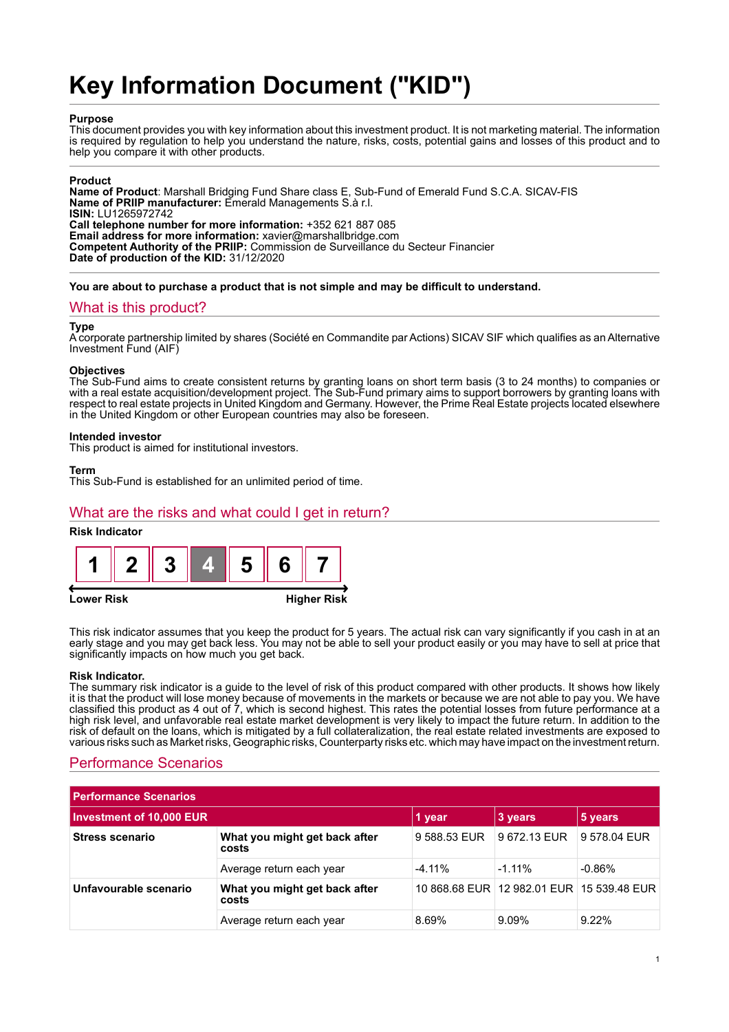# **Key Information Document ("KID")**

## **Purpose**

This document provides you with key information about this investment product. It is not marketing material. The information is required by regulation to help you understand the nature, risks, costs, potential gains and losses of this product and to help you compare it with other products.

## **Product**

**Name of Product**: Marshall Bridging Fund Share class E, Sub-Fund of Emerald Fund S.C.A. SICAV-FIS **Name of PRIIP manufacturer:** Emerald Managements S.à r.l. **ISIN:** LU1265972742 **Call telephone number for more information:** +352 621 887 085 **Email address for more information:** xavier@marshallbridge.com **Competent Authority of the PRIIP:** Commission de Surveillance du Secteur Financier **Date of production of the KID:** 31/12/2020

**You are about to purchase a product that is not simple and may be difficult to understand.**

## What is this product?

#### **Type**

A corporate partnership limited by shares (Société en Commandite par Actions) SICAV SIF which qualifies as an Alternative Investment Fund (AIF)

#### **Objectives**

The Sub-Fund aims to create consistent returns by granting loans on short term basis (3 to 24 months) to companies or with a real estate acquisition/development project. The Sub-Fund primary aims to support borrowers by granting loans with respect to real estate projects in United Kingdom and Germany. However, the Prime Real Estate projects located elsewhere in the United Kingdom or other European countries may also be foreseen.

#### **Intended investor**

This product is aimed for institutional investors.

#### **Term**

This Sub-Fund is established for an unlimited period of time.

## What are the risks and what could I get in return?

## **Risk Indicator**





This risk indicator assumes that you keep the product for 5 years. The actual risk can vary significantly if you cash in at an early stage and you may get back less. You may not be able to sell your product easily or you may have to sell at price that significantly impacts on how much you get back.

#### **Risk Indicator.**

The summary risk indicator is a guide to the level of risk of this product compared with other products. It shows how likely it is that the product will lose money because of movements in the markets or because we are not able to pay you. We have classified this product as 4 out of 7, which is second highest. This rates the potential losses from future performance at a high risk level, and unfavorable real estate market development is very likely to impact the future return. In addition to the risk of default on the loans, which is mitigated by a full collateralization, the real estate related investments are exposed to various risks such as Market risks, Geographic risks, Counterparty risks etc. which may have impact on the investment return.

# Performance Scenarios

| <b>Performance Scenarios</b>    |                                        |              |                                           |              |  |
|---------------------------------|----------------------------------------|--------------|-------------------------------------------|--------------|--|
| <b>Investment of 10,000 EUR</b> |                                        | 1 year       | 3 years                                   | 5 years      |  |
| Stress scenario                 | What you might get back after<br>costs | 9 588.53 EUR | 9672.13 EUR                               | 9 578.04 EUR |  |
|                                 | Average return each year               | $-4.11%$     | $-1.11\%$                                 | $-0.86%$     |  |
| Unfavourable scenario           | What you might get back after<br>costs |              | 10 868.68 EUR 12 982.01 EUR 15 539.48 EUR |              |  |
|                                 | Average return each year               | 8.69%        | 9.09%                                     | $9.22\%$     |  |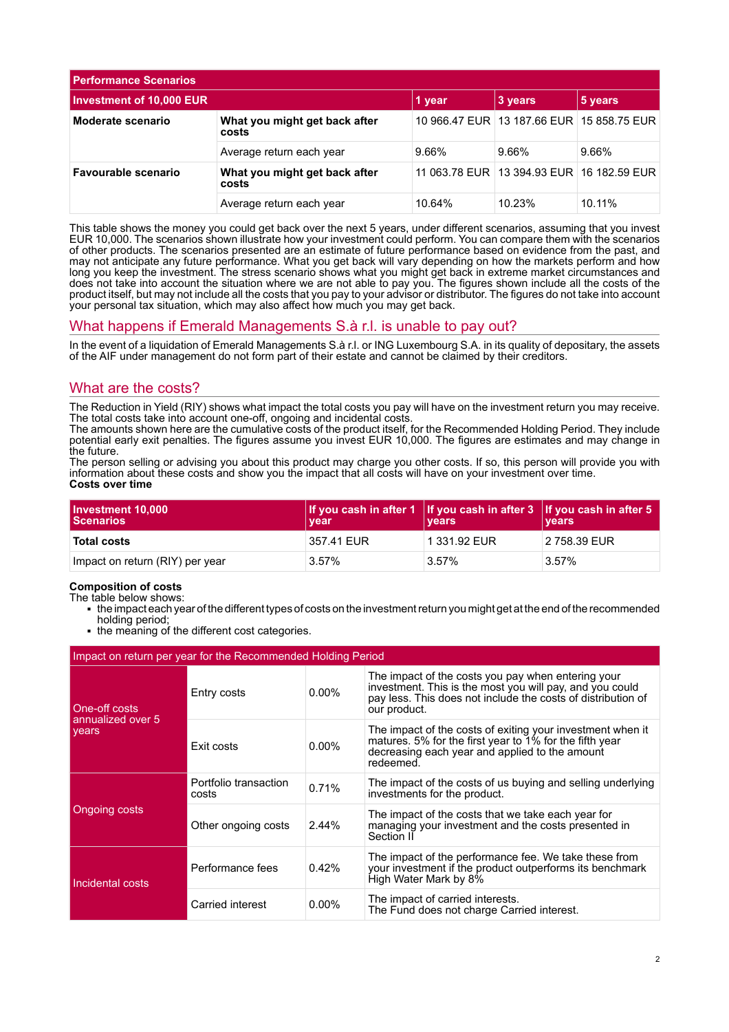| <b>Performance Scenarios</b>    |                                        |        |                                               |         |
|---------------------------------|----------------------------------------|--------|-----------------------------------------------|---------|
| <b>Investment of 10,000 EUR</b> |                                        | 1 year | 3 years                                       | 5 years |
| Moderate scenario               | What you might get back after<br>costs |        | 10 966.47 EUR 13 187.66 EUR 15 858.75 EUR     |         |
|                                 | Average return each year               | 9.66%  | 9.66%                                         | 9.66%   |
| Favourable scenario             | What you might get back after<br>costs |        | 11 063.78 EUR   13 394.93 EUR   16 182.59 EUR |         |
|                                 | Average return each year               | 10.64% | 10.23%                                        | 10.11%  |

This table shows the money you could get back over the next 5 years, under different scenarios, assuming that you invest EUR 10,000. The scenarios shown illustrate how your investment could perform. You can compare them with the scenarios of other products. The scenarios presented are an estimate of future performance based on evidence from the past, and may not anticipate any future performance. What you get back will vary depending on how the markets perform and how long you keep the investment. The stress scenario shows what you might get back in extreme market circumstances and does not take into account the situation where we are not able to pay you. The figures shown include all the costs of the product itself, but may not include all the costs that you pay to your advisor or distributor. The figures do not take into account your personal tax situation, which may also affect how much you may get back.

# What happens if Emerald Managements S.à r.l. is unable to pay out?

In the event of a liquidation of Emerald Managements S.à r.l. or ING Luxembourg S.A. in its quality of depositary, the assets of the AIF under management do not form part of their estate and cannot be claimed by their creditors.

## What are the costs?

The Reduction in Yield (RIY) shows what impact the total costs you pay will have on the investment return you may receive. The total costs take into account one-off, ongoing and incidental costs.

The amounts shown here are the cumulative costs of the product itself, for the Recommended Holding Period. They include potential early exit penalties. The figures assume you invest EUR 10,000. The figures are estimates and may change in the future.

The person selling or advising you about this product may charge you other costs. If so, this person will provide you with information about these costs and show you the impact that all costs will have on your investment over time. **Costs over time**

| Investment 10,000<br><b>Scenarios</b> | <b>vear</b> | If you cash in after 1 If you cash in after $3$ If you cash in after $5$<br><b>vears</b> | <b>vears</b> |
|---------------------------------------|-------------|------------------------------------------------------------------------------------------|--------------|
| <b>Total costs</b>                    | 357.41 EUR  | 1 331.92 EUR                                                                             | 2 758.39 EUR |
| Impact on return (RIY) per year       | 3.57%       | $3.57\%$                                                                                 | $3.57\%$     |

# **Composition of costs**

- The table below shows:
	- 1 the impact each year of the different types of costs on the investment return you might get at the end of the recommended holding period;
	- the meaning of the different cost categories.

| Impact on return per year for the Recommended Holding Period |                                |          |                                                                                                                                                                                                |  |
|--------------------------------------------------------------|--------------------------------|----------|------------------------------------------------------------------------------------------------------------------------------------------------------------------------------------------------|--|
| One-off costs<br>annualized over 5<br>years <sup>'</sup>     | Entry costs                    | $0.00\%$ | The impact of the costs you pay when entering your<br>investment. This is the most you will pay, and you could<br>pay less. This does not include the costs of distribution of<br>our product. |  |
|                                                              | Exit costs                     | $0.00\%$ | The impact of the costs of exiting your investment when it<br>matures. 5% for the first year to 1% for the fifth year<br>decreasing each year and applied to the amount<br>redeemed.           |  |
| Ongoing costs                                                | Portfolio transaction<br>costs | 0.71%    | The impact of the costs of us buying and selling underlying<br>investments for the product.                                                                                                    |  |
|                                                              | Other ongoing costs            | 2.44%    | The impact of the costs that we take each year for<br>managing your investment and the costs presented in<br>Section II                                                                        |  |
| Incidental costs                                             | Performance fees               | 0.42%    | The impact of the performance fee. We take these from<br>your investment if the product outperforms its benchmark<br>High Water Mark by 8%                                                     |  |
|                                                              | Carried interest               | $0.00\%$ | The impact of carried interests.<br>The Fund does not charge Carried interest.                                                                                                                 |  |